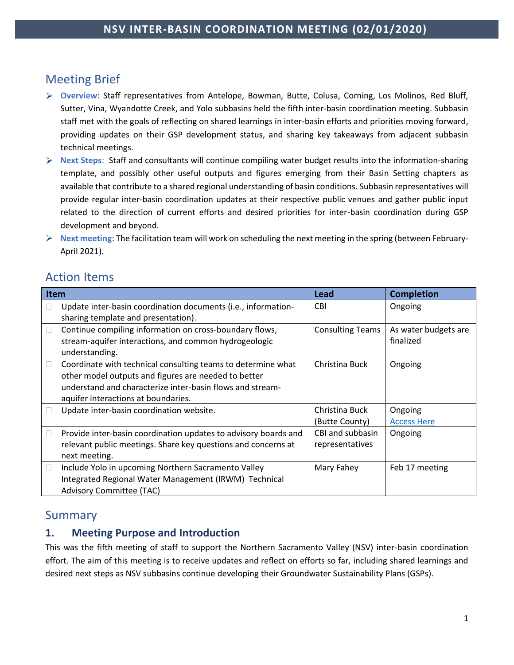# Meeting Brief

- **Overview**: Staff representatives from Antelope, Bowman, Butte, Colusa, Corning, Los Molinos, Red Bluff, Sutter, Vina, Wyandotte Creek, and Yolo subbasins held the fifth inter-basin coordination meeting. Subbasin staff met with the goals of reflecting on shared learnings in inter-basin efforts and priorities moving forward, providing updates on their GSP development status, and sharing key takeaways from adjacent subbasin technical meetings.
- **Next Steps**: Staff and consultants will continue compiling water budget results into the information-sharing template, and possibly other useful outputs and figures emerging from their Basin Setting chapters as available that contribute to a shared regional understanding of basin conditions. Subbasin representatives will provide regular inter-basin coordination updates at their respective public venues and gather public input related to the direction of current efforts and desired priorities for inter-basin coordination during GSP development and beyond.
- **Next meeting:** The facilitation team will work on scheduling the next meeting in the spring (between February-April 2021).

# Action Items

| Item   |                                                                                                                                                                                                                          | Lead                                | <b>Completion</b>                 |
|--------|--------------------------------------------------------------------------------------------------------------------------------------------------------------------------------------------------------------------------|-------------------------------------|-----------------------------------|
|        | Update inter-basin coordination documents (i.e., information-<br>sharing template and presentation).                                                                                                                     | <b>CBI</b>                          | Ongoing                           |
|        | Continue compiling information on cross-boundary flows,<br>stream-aquifer interactions, and common hydrogeologic<br>understanding.                                                                                       | <b>Consulting Teams</b>             | As water budgets are<br>finalized |
| П      | Coordinate with technical consulting teams to determine what<br>other model outputs and figures are needed to better<br>understand and characterize inter-basin flows and stream-<br>aquifer interactions at boundaries. | Christina Buck                      | Ongoing                           |
|        | Update inter-basin coordination website.                                                                                                                                                                                 | Christina Buck<br>(Butte County)    | Ongoing<br><b>Access Here</b>     |
| $\Box$ | Provide inter-basin coordination updates to advisory boards and<br>relevant public meetings. Share key questions and concerns at<br>next meeting.                                                                        | CBI and subbasin<br>representatives | Ongoing                           |
| $\Box$ | Include Yolo in upcoming Northern Sacramento Valley<br>Integrated Regional Water Management (IRWM) Technical<br>Advisory Committee (TAC)                                                                                 | Mary Fahey                          | Feb 17 meeting                    |

# Summary

# **1. Meeting Purpose and Introduction**

This was the fifth meeting of staff to support the Northern Sacramento Valley (NSV) inter-basin coordination effort. The aim of this meeting is to receive updates and reflect on efforts so far, including shared learnings and desired next steps as NSV subbasins continue developing their Groundwater Sustainability Plans (GSPs).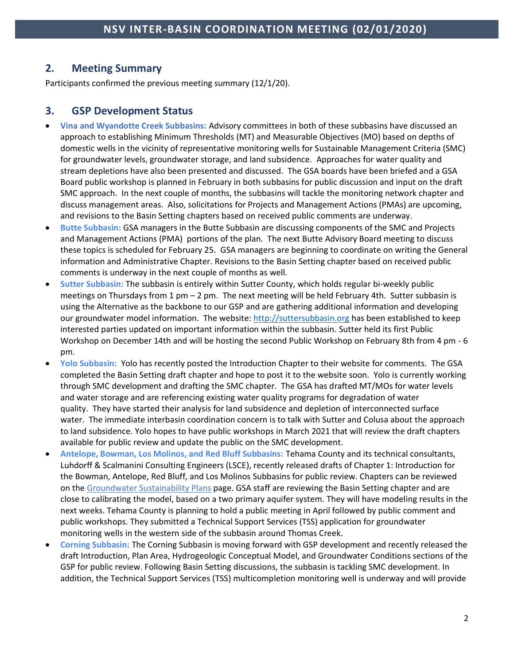## **2. Meeting Summary**

Participants confirmed the previous meeting summary (12/1/20).

### **3. GSP Development Status**

- **Vina and Wyandotte Creek Subbasins:** Advisory committees in both of these subbasins have discussed an approach to establishing Minimum Thresholds (MT) and Measurable Objectives (MO) based on depths of domestic wells in the vicinity of representative monitoring wells for Sustainable Management Criteria (SMC) for groundwater levels, groundwater storage, and land subsidence. Approaches for water quality and stream depletions have also been presented and discussed. The GSA boards have been briefed and a GSA Board public workshop is planned in February in both subbasins for public discussion and input on the draft SMC approach. In the next couple of months, the subbasins will tackle the monitoring network chapter and discuss management areas. Also, solicitations for Projects and Management Actions (PMAs) are upcoming, and revisions to the Basin Setting chapters based on received public comments are underway.
- **Butte Subbasin:** GSA managers in the Butte Subbasin are discussing components of the SMC and Projects and Management Actions (PMA) portions of the plan. The next Butte Advisory Board meeting to discuss these topics is scheduled for February 25. GSA managers are beginning to coordinate on writing the General information and Administrative Chapter. Revisions to the Basin Setting chapter based on received public comments is underway in the next couple of months as well.
- **Sutter Subbasin:** The subbasin is entirely within Sutter County, which holds regular bi-weekly public meetings on Thursdays from 1 pm – 2 pm. The next meeting will be held February 4th. Sutter subbasin is using the Alternative as the backbone to our GSP and are gathering additional information and developing our groundwater model information. The website: [http://suttersubbasin.org](http://suttersubbasin.org/) has been established to keep interested parties updated on important information within the subbasin. Sutter held its first Public Workshop on December 14th and will be hosting the second Public Workshop on February 8th from 4 pm - 6 pm.
- **Yolo Subbasin:** Yolo has recently posted the Introduction Chapter to their website for comments. The GSA completed the Basin Setting draft chapter and hope to post it to the website soon. Yolo is currently working through SMC development and drafting the SMC chapter. The GSA has drafted MT/MOs for water levels and water storage and are referencing existing water quality programs for degradation of water quality. They have started their analysis for land subsidence and depletion of interconnected surface water. The immediate interbasin coordination concern is to talk with Sutter and Colusa about the approach to land subsidence. Yolo hopes to have public workshops in March 2021 that will review the draft chapters available for public review and update the public on the SMC development.
- **Antelope, Bowman, Los Molinos, and Red Bluff Subbasins:** Tehama County and its technical consultants, Luhdorff & Scalmanini Consulting Engineers (LSCE), recently released drafts of Chapter 1: Introduction for the Bowman, Antelope, Red Bluff, and Los Molinos Subbasins for public review. Chapters can be reviewed on the [Groundwater Sustainability Plans](https://tehamacountywater.org/gsa/groundwater-sustainability-plans/) page. GSA staff are reviewing the Basin Setting chapter and are close to calibrating the model, based on a two primary aquifer system. They will have modeling results in the next weeks. Tehama County is planning to hold a public meeting in April followed by public comment and public workshops. They submitted a Technical Support Services (TSS) application for groundwater monitoring wells in the western side of the subbasin around Thomas Creek.
- **Corning Subbasin:** The Corning Subbasin is moving forward with GSP development and recently released the draft Introduction, Plan Area, Hydrogeologic Conceptual Model, and Groundwater Conditions sections of the GSP for public review. Following Basin Setting discussions, the subbasin is tackling SMC development. In addition, the Technical Support Services (TSS) multicompletion monitoring well is underway and will provide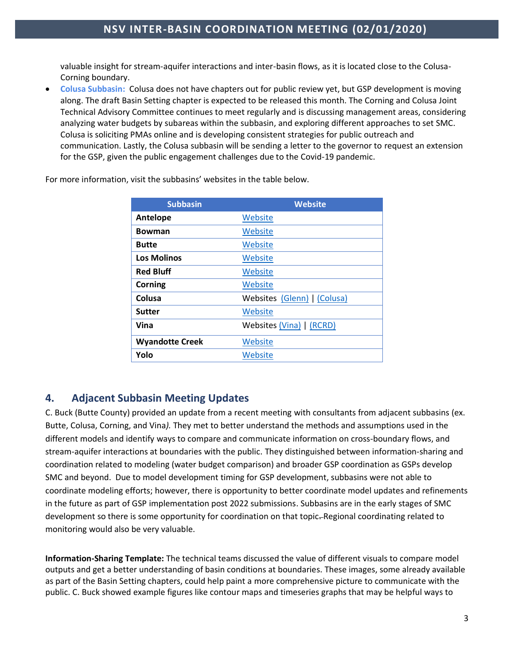valuable insight for stream-aquifer interactions and inter-basin flows, as it is located close to the Colusa-Corning boundary.

• **Colusa Subbasin:** Colusa does not have chapters out for public review yet, but GSP development is moving along. The draft Basin Setting chapter is expected to be released this month. The Corning and Colusa Joint Technical Advisory Committee continues to meet regularly and is discussing management areas, considering analyzing water budgets by subareas within the subbasin, and exploring different approaches to set SMC. Colusa is soliciting PMAs online and is developing consistent strategies for public outreach and communication. Lastly, the Colusa subbasin will be sending a letter to the governor to request an extension for the GSP, given the public engagement challenges due to the Covid-19 pandemic.

| <b>Subbasin</b>        | <b>Website</b>              |
|------------------------|-----------------------------|
| Antelope               | Website                     |
| Bowman                 | Website                     |
| <b>Butte</b>           | Website                     |
| <b>Los Molinos</b>     | Website                     |
| <b>Red Bluff</b>       | Website                     |
| Corning                | Website                     |
| Colusa                 | Websites (Glenn)   (Colusa) |
| Sutter                 | Website                     |
| Vina                   | Websites (Vina)   (RCRD)    |
| <b>Wyandotte Creek</b> | Website                     |
| Yolo                   | Website                     |

For more information, visit the subbasins' websites in the table below.

## **4. Adjacent Subbasin Meeting Updates**

C. Buck (Butte County) provided an update from a recent meeting with consultants from adjacent subbasins (ex. Butte, Colusa, Corning, and Vina*).* They met to better understand the methods and assumptions used in the different models and identify ways to compare and communicate information on cross-boundary flows, and stream-aquifer interactions at boundaries with the public. They distinguished between information-sharing and coordination related to modeling (water budget comparison) and broader GSP coordination as GSPs develop SMC and beyond. Due to model development timing for GSP development, subbasins were not able to coordinate modeling efforts; however, there is opportunity to better coordinate model updates and refinements in the future as part of GSP implementation post 2022 submissions. Subbasins are in the early stages of SMC development so there is some opportunity for coordination on that topic-Regional coordinating related to monitoring would also be very valuable.

**Information-Sharing Template:** The technical teams discussed the value of different visuals to compare model outputs and get a better understanding of basin conditions at boundaries. These images, some already available as part of the Basin Setting chapters, could help paint a more comprehensive picture to communicate with the public. C. Buck showed example figures like contour maps and timeseries graphs that may be helpful ways to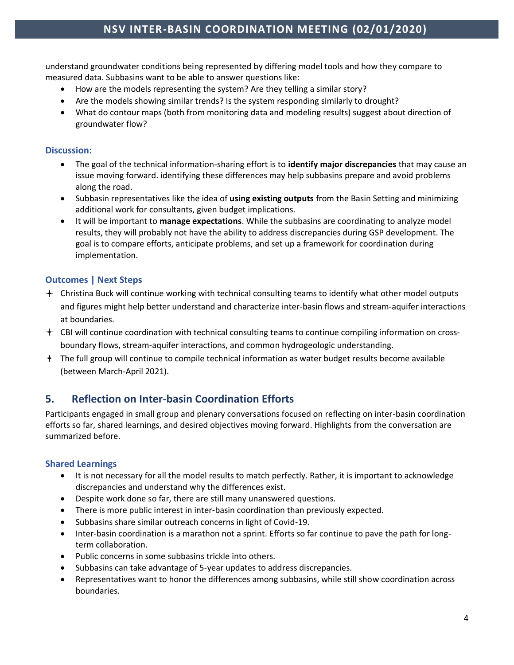understand groundwater conditions being represented by differing model tools and how they compare to measured data. Subbasins want to be able to answer questions like:

- How are the models representing the system? Are they telling a similar story?
- Are the models showing similar trends? Is the system responding similarly to drought?
- What do contour maps (both from monitoring data and modeling results) suggest about direction of groundwater flow?

#### **Discussion:**

- The goal of the technical information-sharing effort is to **identify major discrepancies** that may cause an issue moving forward. identifying these differences may help subbasins prepare and avoid problems along the road.
- Subbasin representatives like the idea of **using existing outputs** from the Basin Setting and minimizing additional work for consultants, given budget implications.
- It will be important to **manage expectations**. While the subbasins are coordinating to analyze model results, they will probably not have the ability to address discrepancies during GSP development. The goal is to compare efforts, anticipate problems, and set up a framework for coordination during implementation.

#### **Outcomes | Next Steps**

- Christina Buck will continue working with technical consulting teams to identify what other model outputs and figures might help better understand and characterize inter-basin flows and stream-aquifer interactions at boundaries.
- $+$  CBI will continue coordination with technical consulting teams to continue compiling information on crossboundary flows, stream-aquifer interactions, and common hydrogeologic understanding.
- $+$  The full group will continue to compile technical information as water budget results become available (between March-April 2021).

## **5. Reflection on Inter-basin Coordination Efforts**

Participants engaged in small group and plenary conversations focused on reflecting on inter-basin coordination efforts so far, shared learnings, and desired objectives moving forward. Highlights from the conversation are summarized before.

#### **Shared Learnings**

- It is not necessary for all the model results to match perfectly. Rather, it is important to acknowledge discrepancies and understand why the differences exist.
- Despite work done so far, there are still many unanswered questions.
- There is more public interest in inter-basin coordination than previously expected.
- Subbasins share similar outreach concerns in light of Covid-19.
- Inter-basin coordination is a marathon not a sprint. Efforts so far continue to pave the path for longterm collaboration.
- Public concerns in some subbasins trickle into others.
- Subbasins can take advantage of 5-year updates to address discrepancies.
- Representatives want to honor the differences among subbasins, while still show coordination across boundaries.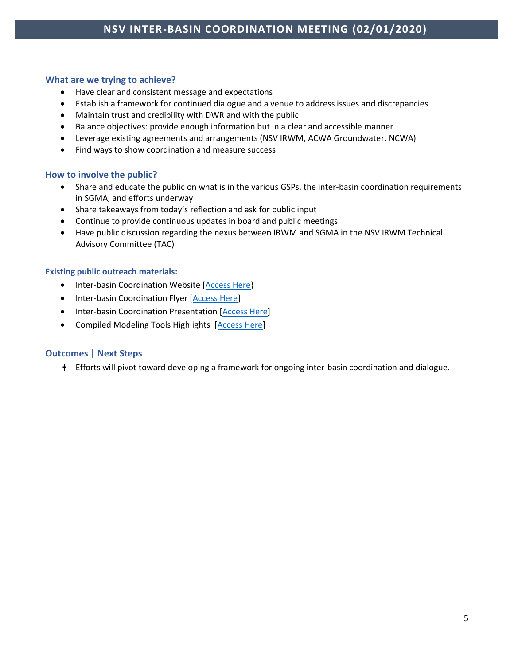#### **What are we trying to achieve?**

- Have clear and consistent message and expectations
- Establish a framework for continued dialogue and a venue to address issues and discrepancies
- Maintain trust and credibility with DWR and with the public
- Balance objectives: provide enough information but in a clear and accessible manner
- Leverage existing agreements and arrangements (NSV IRWM, ACWA Groundwater, NCWA)
- Find ways to show coordination and measure success

#### **How to involve the public?**

- Share and educate the public on what is in the various GSPs, the inter-basin coordination requirements in SGMA, and efforts underway
- Share takeaways from today's reflection and ask for public input
- Continue to provide continuous updates in board and public meetings
- Have public discussion regarding the nexus between IRWM and SGMA in the NSV IRWM Technical Advisory Committee (TAC)

#### **Existing public outreach materials:**

- Inter-basin Coordination Website [Access Here]
- Inter-basin Coordination Flyer [\[Access Here\]](http://www.buttecounty.net/wrcdocs/planning/SGWMA/InterbasinCoordination/06_NSV_InterBasin_Coordination_Flyer_v12-8-2020.pdf)
- Inter-basin Coordination Presentation [\[Access Here\]](http://www.buttecounty.net/wrcdocs/planning/SGWMA/InterbasinCoordination/Slides_07_Inter-basin%20Coordination%20101_v6.pdf)
- Compiled Modeling Tools Highlights [\[Access Here\]](http://www.buttecounty.net/wrcdocs/planning/SGWMA/InterbasinCoordination/08_NSV_Background%26Compiled_Modeling_Tools_2020-12-2_v2.pdf)

#### **Outcomes | Next Steps**

Efforts will pivot toward developing a framework for ongoing inter-basin coordination and dialogue.